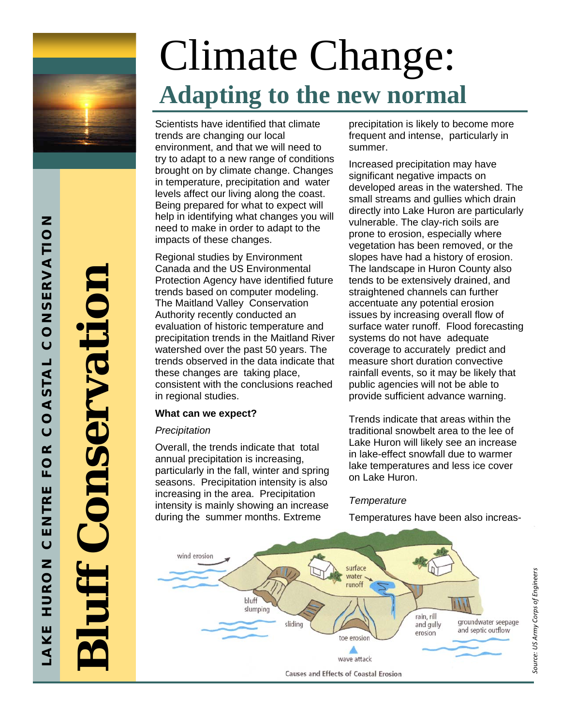

**Bluff Conservation**  Conservati

**LAKE HURON CENTRE FO R COASTAL CONSERVATION** 

 $\propto$  $\overline{O}$ Щ Ш

NTRI

ш  $\overline{O}$ 

 $\overline{z}$ 

 $\overline{O}$ 

ココエ

Ш

 $\overline{\underline{\boldsymbol{\mathsf{Y}}}}$  $\blacktriangleleft$ 

 $\overline{O}$ 

ONSERVATION

 $\overline{O}$ 

OASTAL

# Climate Change: **Adapting to the new normal**

Scientists have identified that climate trends are changing our local environment, and that we will need to try to adapt to a new range of conditions brought on by climate change. Changes in temperature, precipitation and water levels affect our living along the coast. Being prepared for what to expect will help in identifying what changes you will need to make in order to adapt to the impacts of these changes.

Regional studies by Environment Canada and the US Environmental Protection Agency have identified future trends based on computer modeling. The Maitland Valley Conservation Authority recently conducted an evaluation of historic temperature and precipitation trends in the Maitland River watershed over the past 50 years. The trends observed in the data indicate that these changes are taking place, consistent with the conclusions reached in regional studies.

## **What can we expect?**

## *Precipitation*

Overall, the trends indicate that total annual precipitation is increasing, particularly in the fall, winter and spring seasons. Precipitation intensity is also increasing in the area. Precipitation intensity is mainly showing an increase during the summer months. Extreme

precipitation is likely to become more frequent and intense, particularly in summer.

Increased precipitation may have significant negative impacts on developed areas in the watershed. The small streams and gullies which drain directly into Lake Huron are particularly vulnerable. The clay-rich soils are prone to erosion, especially where vegetation has been removed, or the slopes have had a history of erosion. The landscape in Huron County also tends to be extensively drained, and straightened channels can further accentuate any potential erosion issues by increasing overall flow of surface water runoff. Flood forecasting systems do not have adequate coverage to accurately predict and measure short duration convective rainfall events, so it may be likely that public agencies will not be able to provide sufficient advance warning.

Trends indicate that areas within the traditional snowbelt area to the lee of Lake Huron will likely see an increase in lake-effect snowfall due to warmer lake temperatures and less ice cover on Lake Huron.

## *Temperature*

Temperatures have been also increas-